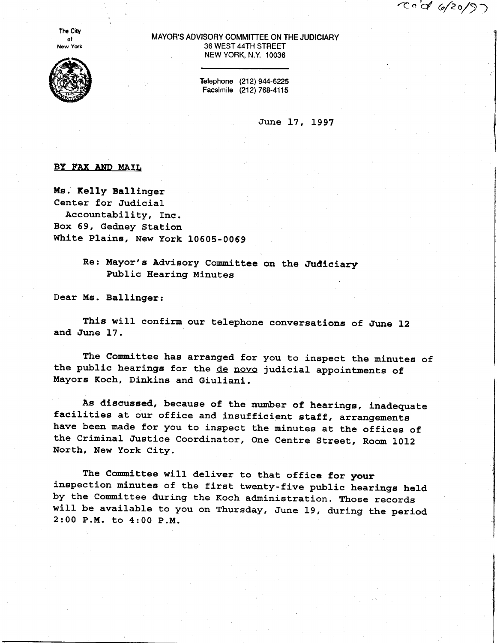$20/27$ 

**The City** ot New York



## MAYOR'S ADVISORY COMMITTEE ON THE JUDICIARY 36 WEST 44TH STREET NEW YORK, N.Y. 10036

Telephone (212) 944-6225 Facsimile (212) 768-4115

June 17, 1997

## BY FAX AND MAIL

Me. Relly Ballinger Center for Judicial Accountability, Inc. Box 59, Gedney Station White Plaine, New york IOGOS-0069

> Re: Mayor's Advisory Committee on the Judiciary Public Hearing Minutes

Dear Ms. Ballinger:

This will confirm our telephone conversations of June 12 and June 17.

The Committee has arranged for you to inspect the minutes of the public hearings for the de novo judicial appointments of Mayors Koch, Dinkins and Giuliani

Ae discussed, beeauge of the number of hearings, inadequate facilities at our office and insufficient staff, arrangements have been made for you to inspect the minutes at the offices of the Criminal Justice Coordinator, One Centre Street, Room 1012 North, New York City.

The Committee will deliver to that office for your inspection minutes of the first twenty-five public hearings held by the Committee during the Koch administration. Those records will be available to you on Thursday, June 19, during the period 2 :00 P.M. to 4 : 00 P.M.